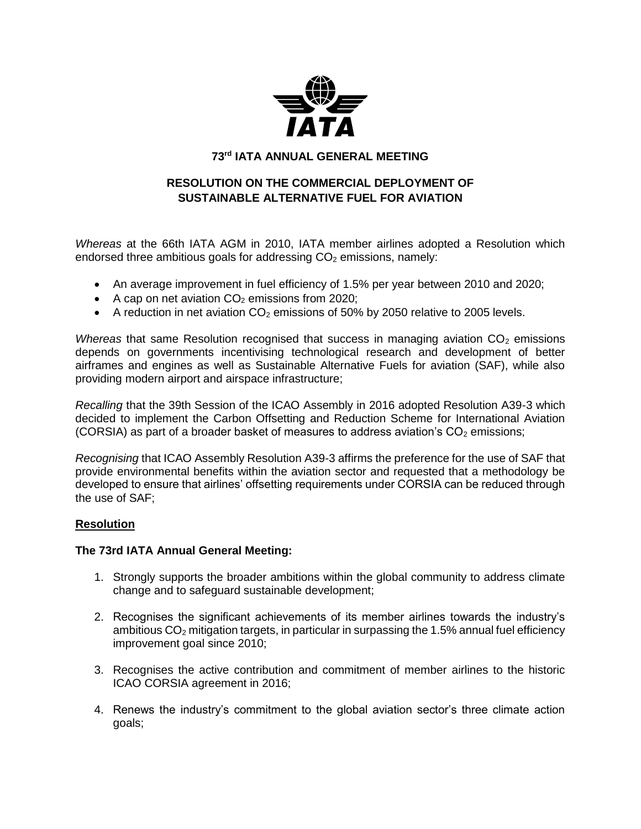

**73 rd IATA ANNUAL GENERAL MEETING**

# **RESOLUTION ON THE COMMERCIAL DEPLOYMENT OF SUSTAINABLE ALTERNATIVE FUEL FOR AVIATION**

*Whereas* at the 66th IATA AGM in 2010, IATA member airlines adopted a Resolution which endorsed three ambitious goals for addressing  $CO<sub>2</sub>$  emissions, namely:

- An average improvement in fuel efficiency of 1.5% per year between 2010 and 2020;
- A cap on net aviation  $CO<sub>2</sub>$  emissions from 2020;
- A reduction in net aviation  $CO<sub>2</sub>$  emissions of 50% by 2050 relative to 2005 levels.

*Whereas* that same Resolution recognised that success in managing aviation  $CO<sub>2</sub>$  emissions depends on governments incentivising technological research and development of better airframes and engines as well as Sustainable Alternative Fuels for aviation (SAF), while also providing modern airport and airspace infrastructure;

*Recalling* that the 39th Session of the ICAO Assembly in 2016 adopted Resolution A39-3 which decided to implement the Carbon Offsetting and Reduction Scheme for International Aviation (CORSIA) as part of a broader basket of measures to address aviation's  $CO<sub>2</sub>$  emissions;

*Recognising* that ICAO Assembly Resolution A39-3 affirms the preference for the use of SAF that provide environmental benefits within the aviation sector and requested that a methodology be developed to ensure that airlines' offsetting requirements under CORSIA can be reduced through the use of SAF;

## **Resolution**

## **The 73rd IATA Annual General Meeting:**

- 1. Strongly supports the broader ambitions within the global community to address climate change and to safeguard sustainable development;
- 2. Recognises the significant achievements of its member airlines towards the industry's ambitious  $CO<sub>2</sub>$  mitigation targets, in particular in surpassing the 1.5% annual fuel efficiency improvement goal since 2010;
- 3. Recognises the active contribution and commitment of member airlines to the historic ICAO CORSIA agreement in 2016;
- 4. Renews the industry's commitment to the global aviation sector's three climate action goals;